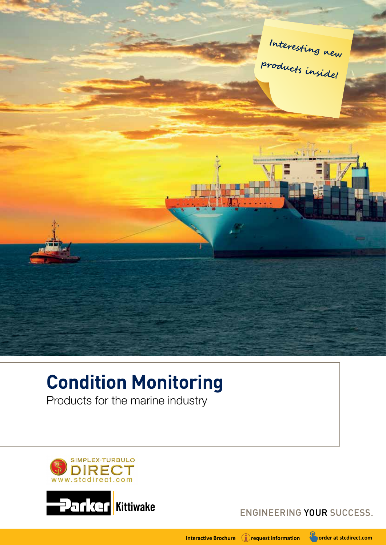

# **Condition Monitoring**

Products for the marine industry



ENGINEERING YOUR SUCCESS.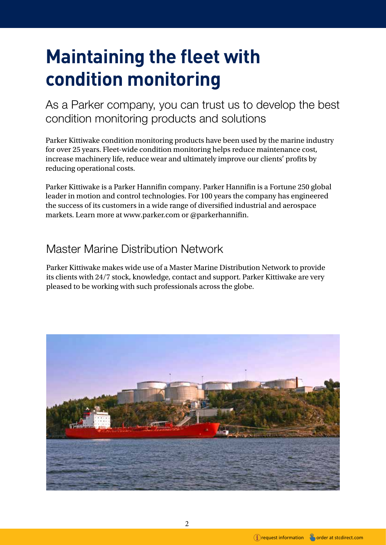# **Maintaining the fleet with condition monitoring**

As a Parker company, you can trust us to develop the best condition monitoring products and solutions

Parker Kittiwake condition monitoring products have been used by the marine industry for over 25 years. Fleet-wide condition monitoring helps reduce maintenance cost, increase machinery life, reduce wear and ultimately improve our clients' profits by reducing operational costs.

Parker Kittiwake is a Parker Hannifin company. Parker Hannifin is a Fortune 250 global leader in motion and control technologies. For 100 years the company has engineered the success of its customers in a wide range of diversified industrial and aerospace markets. Learn more at www.parker.com or @parkerhannifin.

# Master Marine Distribution Network

Parker Kittiwake makes wide use of a Master Marine Distribution Network to provide its clients with 24/7 stock, knowledge, contact and support. Parker Kittiwake are very pleased to be working with such professionals across the globe.

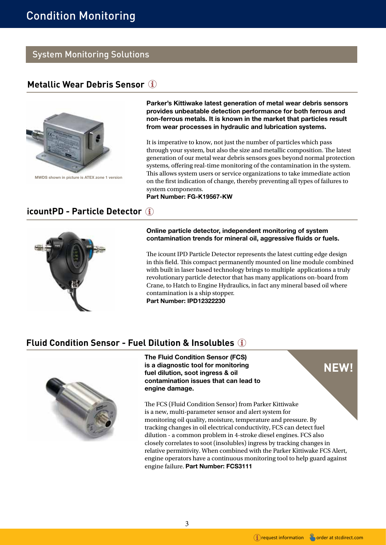# System Monitoring Solutions

# **[Metallic Wear Debris Sensor](https://www.stcdirect.com/contactus)**



[MWDS shown in picture is ATEX zone 1 version](www.stcdirect.com/contactus)

Parker's Kittiwake latest generation of metal wear debris sensors provides unbeatable detection performance for both ferrous and non-ferrous metals. It is known in the market that particles result from wear processes in hydraulic and lubrication systems.

It is imperative to know, not just the number of particles which pass through your system, but also the size and metallic composition. The latest generation of our metal wear debris sensors goes beyond normal protection systems, offering real-time monitoring of the contamination in the system. This allows system users or service organizations to take immediate action on the first indication of change, thereby preventing all types of failures to system components.

Part Number: FG-K19567-KW

## **[icountPD - Particle Detector](https://www.stcdirect.com/contactus)**



### Online particle detector, independent monitoring of system contamination trends for mineral oil, aggressive fluids or fuels.

The icount IPD Particle Detector represents the latest cutting edge design in this field. This compact permanently mounted on line module combined with built in laser based technology brings to multiple applications a truly revolutionary particle detector that has many applications on-board from Crane, to Hatch to Engine Hydraulics, in fact any mineral based oil where contamination is a ship stopper.

Part Number: IPD12322230

## **[Fluid Condition Sensor - Fuel Dilution & Insolubles](https://www.stcdirect.com/contactus)**



The Fluid Condition Sensor (FCS) is a diagnostic tool for monitoring fuel dilution, soot ingress & oil contamination issues that can lead to engine damage.

The FCS (Fluid Condition Sensor) from Parker Kittiwake is a new, multi-parameter sensor and alert system for monitoring oil quality, moisture, temperature and pressure. By tracking changes in oil electrical conductivity, FCS can detect fuel dilution - a common problem in 4-stroke diesel engines. FCS also closely correlates to soot (insolubles) ingress by tracking changes in relative permittivity. When combined with the Parker Kittiwake FCS Alert, engine operators have a continuous monitoring tool to help guard against engine failure. Part Number: FCS3111

**NEW!**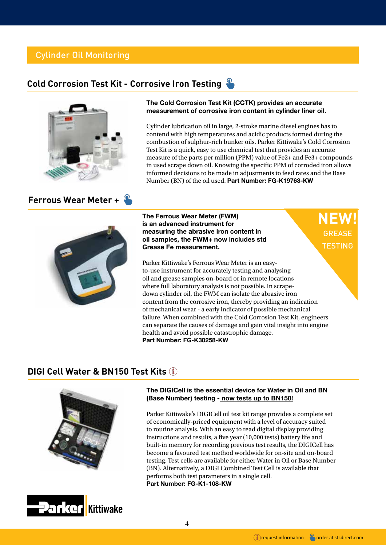# Cylinder Oil Monitoring

# **[Cold Corrosion Test Kit - Corrosive Iron Testing](https://www.stcdirect.com/cold-corrosion-test-kit)**



### **[Ferrous Wear Meter +](https://www.stcdirect.com/ferrous-wear-meter)**

#### The Cold Corrosion Test Kit (CCTK) provides an accurate measurement of corrosive iron content in cylinder liner oil.

Cylinder lubrication oil in large, 2-stroke marine diesel engines has to contend with high temperatures and acidic products formed during the combustion of sulphur-rich bunker oils. Parker Kittiwake's Cold Corrosion Test Kit is a quick, easy to use chemical test that provides an accurate measure of the parts per million (PPM) value of Fe2+ and Fe3+ compounds in used scrape down oil. Knowing the specific PPM of corroded iron allows informed decisions to be made in adjustments to feed rates and the Base Number (BN) of the oil used. Part Number: FG-K19763-KW



The Ferrous Wear Meter (FWM) is an advanced instrument for measuring the abrasive iron content in oil samples, the FWM+ now includes std Grease Fe measurement.

Parker Kittiwake's Ferrous Wear Meter is an easyto-use instrument for accurately testing and analysing oil and grease samples on-board or in remote locations where full laboratory analysis is not possible. In scrapedown cylinder oil, the FWM can isolate the abrasive iron content from the corrosive iron, thereby providing an indication of mechanical wear - a early indicator of possible mechanical failure. When combined with the Cold Corrosion Test Kit, engineers can separate the causes of damage and gain vital insight into engine health and avoid possible catastrophic damage. Part Number: FG-K30258-KW

### **[DIGI Cell Water & BN150 Test Kits](https://www.stcdirect.com/easyship-digi-water-in-oil-test-kit)**





### The DIGICell is the essential device for Water in Oil and BN (Base Number) testing - now tests up to BN150!

Parker Kittiwake's DIGICell oil test kit range provides a complete set of economically-priced equipment with a level of accuracy suited to routine analysis. With an easy to read digital display providing instructions and results, a five year (10,000 tests) battery life and built-in memory for recording previous test results, the DIGICell has become a favoured test method worldwide for on-site and on-board testing. Test cells are available for either Water in Oil or Base Number (BN). Alternatively, a DIGI Combined Test Cell is available that performs both test parameters in a single cell. Part Number: FG-K1-108-KW

**NEW!**

GREASE **TESTING**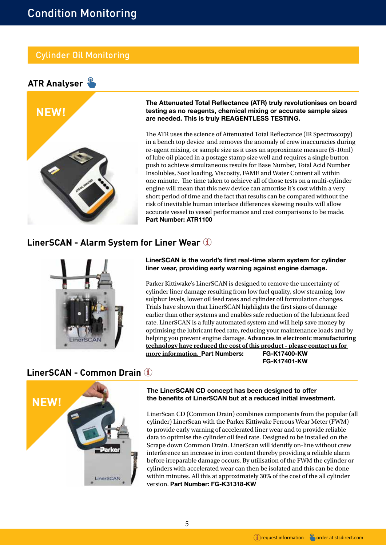# Cylinder Oil Monitoring





The Attenuated Total Reflectance (ATR) truly revolutionises on board testing as no reagents, chemical mixing or accurate sample sizes are needed. This is truly REAGENTLESS TESTING.

The ATR uses the science of Attenuated Total Reflectance (IR Spectroscopy) in a bench top device and removes the anomaly of crew inaccuracies during re-agent mixing, or sample size as it uses an approximate measure (5-10ml) of lube oil placed in a postage stamp size well and requires a single button push to achieve simultaneous results for Base Number, Total Acid Number Insolubles, Soot loading, Viscosity, FAME and Water Content all within one minute. The time taken to achieve all of those tests on a multi-cylinder engine will mean that this new device can amortise it's cost within a very short period of time and the fact that results can be compared without the risk of inevitable human interface differences skewing results will allow accurate vessel to vessel performance and cost comparisons to be made. Part Number: ATR1100

## **[LinerSCAN - Alarm System for Liner Wear](https://www.stcdirect.com/contactus)**



LinerSCAN is the world's first real-time alarm system for cylinder liner wear, providing early warning against engine damage.

Parker Kittiwake's LinerSCAN is designed to remove the uncertainty of cylinder liner damage resulting from low fuel quality, slow steaming, low sulphur levels, lower oil feed rates and cylinder oil formulation changes. Trials have shown that LinerSCAN highlights the first signs of damage earlier than other systems and enables safe reduction of the lubricant feed rate. LinerSCAN is a fully automated system and will help save money by optimising the lubricant feed rate, reducing your maintenance loads and by helping you prevent engine damage. **Advances in electronic manufacturing technology have reduced the cost of this product - please contact us for more information.** Part Numbers: FG-K17400-KW FG-K17401-KW

# **NEW! [LinerSCAN - Common Drain](www.stcdirect.com/contactus)**



The LinerSCAN CD concept has been designed to offer the benefits of LinerSCAN but at a reduced initial investment.

LinerScan CD (Common Drain) combines components from the popular (all cylinder) LinerScan with the Parker Kittiwake Ferrous Wear Meter (FWM) to provide early warning of accelerated liner wear and to provide reliable data to optimise the cylinder oil feed rate. Designed to be installed on the Scrape down Common Drain. LinerScan will identify on-line without crew interference an increase in iron content thereby providing a reliable alarm before irreparable damage occurs. By utilisation of the FWM the cylinder or cylinders with accelerated wear can then be isolated and this can be done within minutes. All this at approximately 30% of the cost of the all cylinder version. Part Number: FG-K31318-KW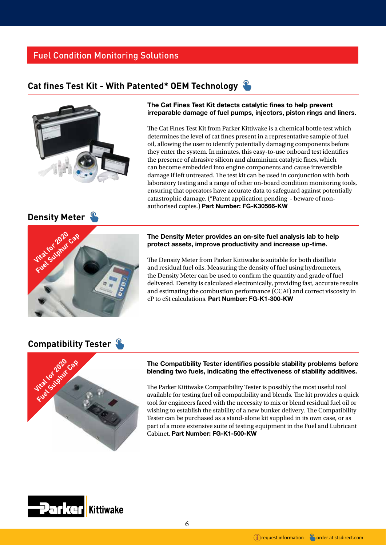# Fuel Condition Monitoring Solutions

# **[Cat fines Test Kit - With Patented\\* OEM Technology](www.stcdirect.com/cat-fines-test-kit)**



### The Cat Fines Test Kit detects catalytic fines to help prevent irreparable damage of fuel pumps, injectors, piston rings and liners.

The Cat Fines Test Kit from Parker Kittiwake is a chemical bottle test which determines the level of cat fines present in a representative sample of fuel oil, allowing the user to identify potentially damaging components before they enter the system. In minutes, this easy-to-use onboard test identifies the presence of abrasive silicon and aluminium catalytic fines, which can become embedded into engine components and cause irreversible damage if left untreated. The test kit can be used in conjunction with both laboratory testing and a range of other on-board condition monitoring tools, ensuring that operators have accurate data to safeguard against potentially catastrophic damage. (\*Patent application pending - beware of nonauthorised copies.) Part Number: FG-K30566-KW

# **[Density Meter](www.stcdirect.com/density-meter)**



#### The Density Meter provides an on-site fuel analysis lab to help protect assets, improve productivity and increase up-time.

The Density Meter from Parker Kittiwake is suitable for both distillate and residual fuel oils. Measuring the density of fuel using hydrometers, the Density Meter can be used to confirm the quantity and grade of fuel delivered. Density is calculated electronically, providing fast, accurate results and estimating the combustion performance (CCAI) and correct viscosity in cP to cSt calculations. Part Number: FG-K1-300-KW

# **[Compatibility Tester](https://www.stcdirect.com/fuel-compatibility-test-kit)**



### The Compatibility Tester identifies possible stability problems before blending two fuels, indicating the effectiveness of stability additives.

The Parker Kittiwake Compatibility Tester is possibly the most useful tool available for testing fuel oil compatibility and blends. The kit provides a quick tool for engineers faced with the necessity to mix or blend residual fuel oil or wishing to establish the stability of a new bunker delivery. The Compatibility Tester can be purchased as a stand-alone kit supplied in its own case, or as part of a more extensive suite of testing equipment in the Fuel and Lubricant Cabinet. Part Number: FG-K1-500-KW



6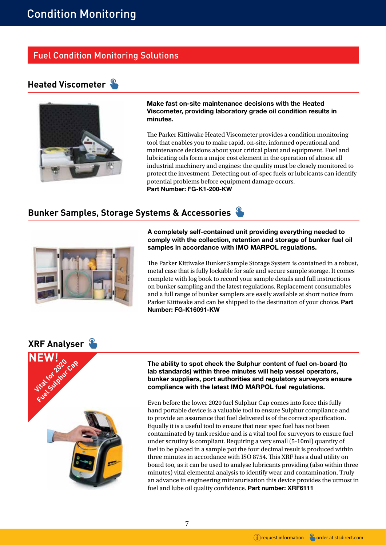# Fuel Condition Monitoring Solutions

# **[Heated Viscometer](https://www.stcdirect.com/oil-analysis-heated-viscometer)**



Make fast on-site maintenance decisions with the Heated Viscometer, providing laboratory grade oil condition results in minutes.

The Parker Kittiwake Heated Viscometer provides a condition monitoring tool that enables you to make rapid, on-site, informed operational and maintenance decisions about your critical plant and equipment. Fuel and lubricating oils form a major cost element in the operation of almost all industrial machinery and engines: the quality must be closely monitored to protect the investment. Detecting out-of-spec fuels or lubricants can identify potential problems before equipment damage occurs. Part Number: FG-K1-200-KW

# **[Bunker Samples, Storage Systems & Accessories](https://www.stcdirect.com/consumables)**



A completely self-contained unit providing everything needed to comply with the collection, retention and storage of bunker fuel oil samples in accordance with IMO MARPOL regulations.

The Parker Kittiwake Bunker Sample Storage System is contained in a robust, metal case that is fully lockable for safe and secure sample storage. It comes complete with log book to record your sample details and full instructions on bunker sampling and the latest regulations. Replacement consumables and a full range of bunker samplers are easily available at short notice from Parker Kittiwake and can be shipped to the destination of your choice. Part Number: FG-K16091-KW



The ability to spot check the Sulphur content of fuel on-board (to lab standards) within three minutes will help vessel operators, bunker suppliers, port authorities and regulatory surveyors ensure compliance with the latest IMO MARPOL fuel regulations.

Even before the lower 2020 fuel Sulphur Cap comes into force this fully hand portable device is a valuable tool to ensure Sulphur compliance and to provide an assurance that fuel delivered is of the correct specification. Equally it is a useful tool to ensure that near spec fuel has not been contaminated by tank residue and is a vital tool for surveyors to ensure fuel under scrutiny is compliant. Requiring a very small (5-10ml) quantity of fuel to be placed in a sample pot the four decimal result is produced within three minutes in accordance with ISO 8754. This XRF has a dual utility on board too, as it can be used to analyse lubricants providing (also within three minutes) vital elemental analysis to identify wear and contamination. Truly an advance in engineering miniaturisation this device provides the utmost in fuel and lube oil quality confidence. Part number: XRF6111